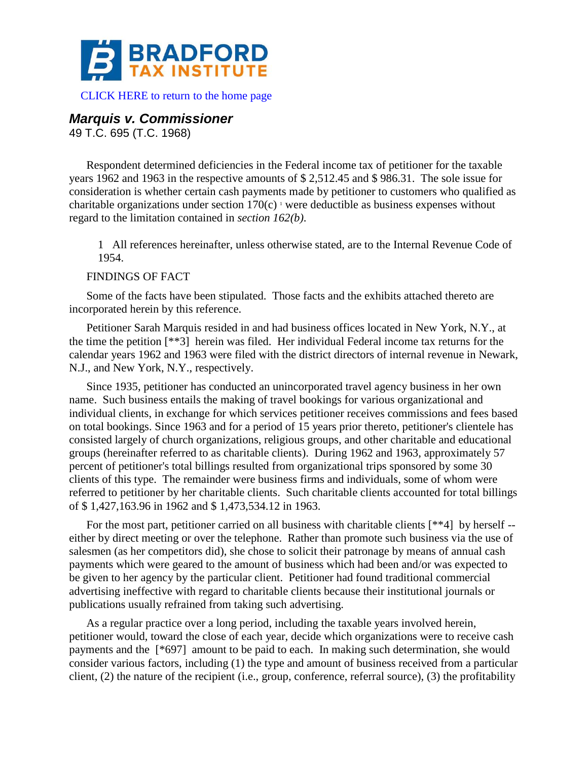

# *Marquis v. Commissioner*

49 T.C. 695 (T.C. 1968)

Respondent determined deficiencies in the Federal income tax of petitioner for the taxable years 1962 and 1963 in the respective amounts of \$ 2,512.45 and \$ 986.31. The sole issue for consideration is whether certain cash payments made by petitioner to customers who qualified as charitable organizations under section  $170(c)$ <sup>1</sup> were deductible as business expenses without regard to the limitation contained in *section 162(b)*.

1 All references hereinafter, unless otherwise stated, are to the Internal Revenue Code of 1954.

## FINDINGS OF FACT

Some of the facts have been stipulated. Those facts and the exhibits attached thereto are incorporated herein by this reference.

Petitioner Sarah Marquis resided in and had business offices located in New York, N.Y., at the time the petition [\*\*3] herein was filed. Her individual Federal income tax returns for the calendar years 1962 and 1963 were filed with the district directors of internal revenue in Newark, N.J., and New York, N.Y., respectively.

Since 1935, petitioner has conducted an unincorporated travel agency business in her own name. Such business entails the making of travel bookings for various organizational and individual clients, in exchange for which services petitioner receives commissions and fees based on total bookings. Since 1963 and for a period of 15 years prior thereto, petitioner's clientele has consisted largely of church organizations, religious groups, and other charitable and educational groups (hereinafter referred to as charitable clients). During 1962 and 1963, approximately 57 percent of petitioner's total billings resulted from organizational trips sponsored by some 30 clients of this type. The remainder were business firms and individuals, some of whom were referred to petitioner by her charitable clients. Such charitable clients accounted for total billings of \$ 1,427,163.96 in 1962 and \$ 1,473,534.12 in 1963.

For the most part, petitioner carried on all business with charitable clients [\*\*4] by herself -either by direct meeting or over the telephone. Rather than promote such business via the use of salesmen (as her competitors did), she chose to solicit their patronage by means of annual cash payments which were geared to the amount of business which had been and/or was expected to be given to her agency by the particular client. Petitioner had found traditional commercial advertising ineffective with regard to charitable clients because their institutional journals or publications usually refrained from taking such advertising.

As a regular practice over a long period, including the taxable years involved herein, petitioner would, toward the close of each year, decide which organizations were to receive cash payments and the [\*697] amount to be paid to each. In making such determination, she would consider various factors, including (1) the type and amount of business received from a particular client, (2) the nature of the recipient (i.e., group, conference, referral source), (3) the profitability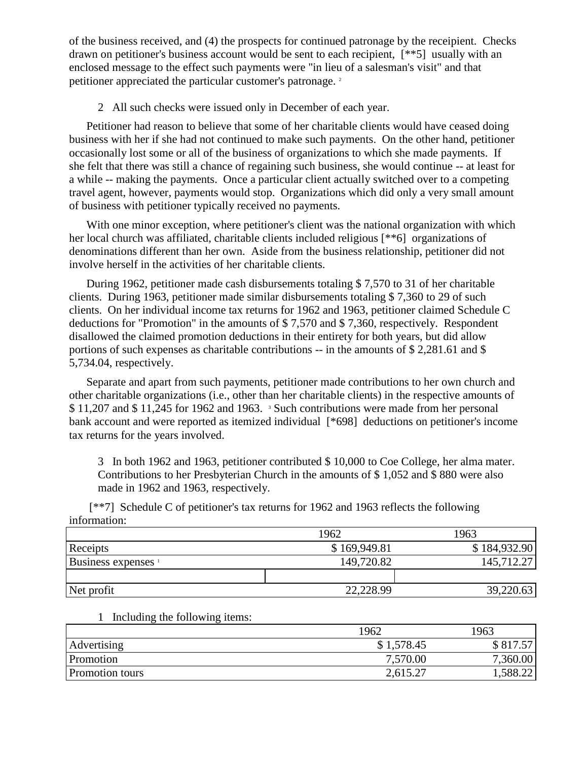of the business received, and (4) the prospects for continued patronage by the receipient. Checks drawn on petitioner's business account would be sent to each recipient, [\*\*5] usually with an enclosed message to the effect such payments were "in lieu of a salesman's visit" and that petitioner appreciated the particular customer's patronage. <sup>2</sup>

2 All such checks were issued only in December of each year.

Petitioner had reason to believe that some of her charitable clients would have ceased doing business with her if she had not continued to make such payments. On the other hand, petitioner occasionally lost some or all of the business of organizations to which she made payments. If she felt that there was still a chance of regaining such business, she would continue -- at least for a while -- making the payments. Once a particular client actually switched over to a competing travel agent, however, payments would stop. Organizations which did only a very small amount of business with petitioner typically received no payments.

With one minor exception, where petitioner's client was the national organization with which her local church was affiliated, charitable clients included religious [\*\*6] organizations of denominations different than her own. Aside from the business relationship, petitioner did not involve herself in the activities of her charitable clients.

During 1962, petitioner made cash disbursements totaling \$ 7,570 to 31 of her charitable clients. During 1963, petitioner made similar disbursements totaling \$ 7,360 to 29 of such clients. On her individual income tax returns for 1962 and 1963, petitioner claimed Schedule C deductions for "Promotion" in the amounts of \$ 7,570 and \$ 7,360, respectively. Respondent disallowed the claimed promotion deductions in their entirety for both years, but did allow portions of such expenses as charitable contributions -- in the amounts of \$ 2,281.61 and \$ 5,734.04, respectively.

Separate and apart from such payments, petitioner made contributions to her own church and other charitable organizations (i.e., other than her charitable clients) in the respective amounts of  $$11,207$  and  $$11,245$  for 1962 and 1963. <sup>3</sup> Such contributions were made from her personal bank account and were reported as itemized individual [\*698] deductions on petitioner's income tax returns for the years involved.

3 In both 1962 and 1963, petitioner contributed \$ 10,000 to Coe College, her alma mater. Contributions to her Presbyterian Church in the amounts of \$ 1,052 and \$ 880 were also made in 1962 and 1963, respectively.

[\*\*7] Schedule C of petitioner's tax returns for 1962 and 1963 reflects the following information:

|                                | 1962         | 1963         |
|--------------------------------|--------------|--------------|
| Receipts                       | \$169,949.81 | \$184,932.90 |
| Business expenses <sup>1</sup> | 149,720.82   | 145,712.27   |
|                                |              |              |
| Net profit                     | 22,228.99    | 39,220.63    |

#### 1 Including the following items:

|                        | 1962       | 1963     |
|------------------------|------------|----------|
| Advertising            | \$1,578.45 | \$817.57 |
| Promotion              | 7,570.00   | 7,360.00 |
| <b>Promotion tours</b> | 2,615.27   | 1,588.22 |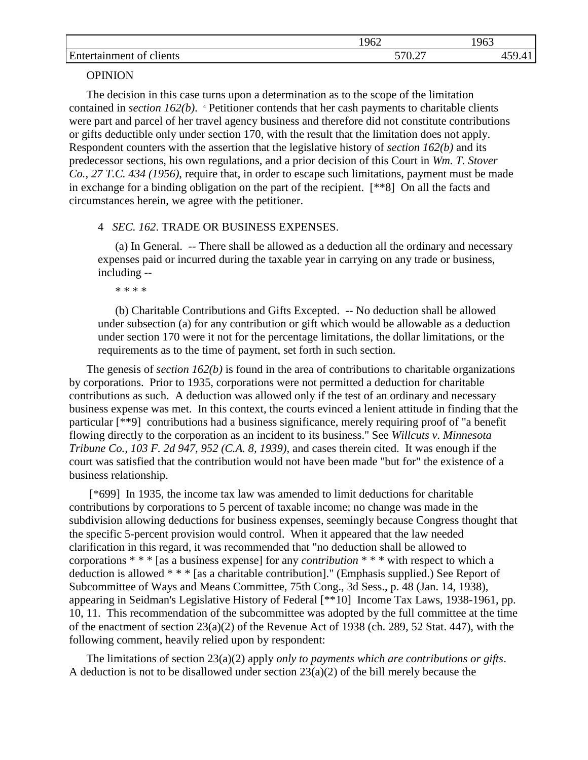|                                                          | 1962          | 1963 |
|----------------------------------------------------------|---------------|------|
| $\blacksquare$<br>clients<br><b>Ent</b><br>ΩŤ<br>aanment | 570.27<br>◡.∠ |      |

## **OPINION**

The decision in this case turns upon a determination as to the scope of the limitation contained in *section 162(b)*. <sup>4</sup> Petitioner contends that her cash payments to charitable clients were part and parcel of her travel agency business and therefore did not constitute contributions or gifts deductible only under section 170, with the result that the limitation does not apply. Respondent counters with the assertion that the legislative history of *section 162(b)* and its predecessor sections, his own regulations, and a prior decision of this Court in *Wm. T. Stover Co., 27 T.C. 434 (1956)*, require that, in order to escape such limitations, payment must be made in exchange for a binding obligation on the part of the recipient. [\*\*8] On all the facts and circumstances herein, we agree with the petitioner.

## 4 *SEC. 162*. TRADE OR BUSINESS EXPENSES.

(a) In General. -- There shall be allowed as a deduction all the ordinary and necessary expenses paid or incurred during the taxable year in carrying on any trade or business, including --

\* \* \* \*

(b) Charitable Contributions and Gifts Excepted. -- No deduction shall be allowed under subsection (a) for any contribution or gift which would be allowable as a deduction under section 170 were it not for the percentage limitations, the dollar limitations, or the requirements as to the time of payment, set forth in such section.

The genesis of *section 162(b)* is found in the area of contributions to charitable organizations by corporations. Prior to 1935, corporations were not permitted a deduction for charitable contributions as such. A deduction was allowed only if the test of an ordinary and necessary business expense was met. In this context, the courts evinced a lenient attitude in finding that the particular [\*\*9] contributions had a business significance, merely requiring proof of "a benefit flowing directly to the corporation as an incident to its business." See *Willcuts v. Minnesota Tribune Co., 103 F. 2d 947, 952 (C.A. 8, 1939)*, and cases therein cited. It was enough if the court was satisfied that the contribution would not have been made "but for" the existence of a business relationship.

[\*699] In 1935, the income tax law was amended to limit deductions for charitable contributions by corporations to 5 percent of taxable income; no change was made in the subdivision allowing deductions for business expenses, seemingly because Congress thought that the specific 5-percent provision would control. When it appeared that the law needed clarification in this regard, it was recommended that "no deduction shall be allowed to corporations \* \* \* [as a business expense] for any *contribution* \* \* \* with respect to which a deduction is allowed \* \* \* [as a charitable contribution]." (Emphasis supplied.) See Report of Subcommittee of Ways and Means Committee, 75th Cong., 3d Sess., p. 48 (Jan. 14, 1938), appearing in Seidman's Legislative History of Federal [\*\*10] Income Tax Laws, 1938-1961, pp. 10, 11. This recommendation of the subcommittee was adopted by the full committee at the time of the enactment of section 23(a)(2) of the Revenue Act of 1938 (ch. 289, 52 Stat. 447), with the following comment, heavily relied upon by respondent:

The limitations of section 23(a)(2) apply *only to payments which are contributions or gifts*. A deduction is not to be disallowed under section 23(a)(2) of the bill merely because the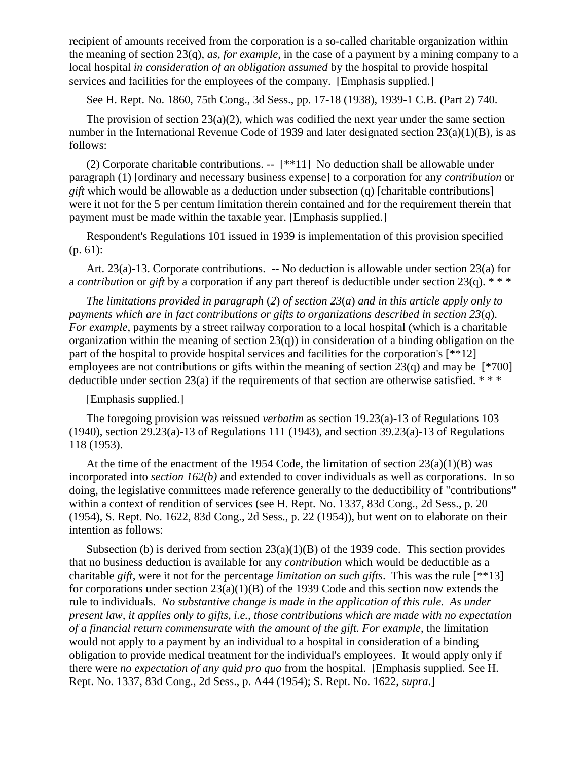recipient of amounts received from the corporation is a so-called charitable organization within the meaning of section 23(q), *as, for example*, in the case of a payment by a mining company to a local hospital *in consideration of an obligation assumed* by the hospital to provide hospital services and facilities for the employees of the company. [Emphasis supplied.]

See H. Rept. No. 1860, 75th Cong., 3d Sess., pp. 17-18 (1938), 1939-1 C.B. (Part 2) 740.

The provision of section  $23(a)(2)$ , which was codified the next year under the same section number in the International Revenue Code of 1939 and later designated section 23(a)(1)(B), is as follows:

(2) Corporate charitable contributions. -- [\*\*11] No deduction shall be allowable under paragraph (1) [ordinary and necessary business expense] to a corporation for any *contribution* or *gift* which would be allowable as a deduction under subsection (q) [charitable contributions] were it not for the 5 per centum limitation therein contained and for the requirement therein that payment must be made within the taxable year. [Emphasis supplied.]

Respondent's Regulations 101 issued in 1939 is implementation of this provision specified (p. 61):

Art. 23(a)-13. Corporate contributions. -- No deduction is allowable under section 23(a) for a *contribution* or *gift* by a corporation if any part thereof is deductible under section 23(q). \* \* \*

*The limitations provided in paragraph* (*2*) *of section 23*(*a*) *and in this article apply only to payments which are in fact contributions or gifts to organizations described in section 23*(*q*). *For example*, payments by a street railway corporation to a local hospital (which is a charitable organization within the meaning of section  $23(q)$  in consideration of a binding obligation on the part of the hospital to provide hospital services and facilities for the corporation's [\*\*12] employees are not contributions or gifts within the meaning of section  $23(q)$  and may be [\*700] deductible under section 23(a) if the requirements of that section are otherwise satisfied.  $***$ 

[Emphasis supplied.]

The foregoing provision was reissued *verbatim* as section 19.23(a)-13 of Regulations 103  $(1940)$ , section 29.23(a)-13 of Regulations 111 (1943), and section 39.23(a)-13 of Regulations 118 (1953).

At the time of the enactment of the 1954 Code, the limitation of section  $23(a)(1)(B)$  was incorporated into *section 162(b)* and extended to cover individuals as well as corporations. In so doing, the legislative committees made reference generally to the deductibility of "contributions" within a context of rendition of services (see H. Rept. No. 1337, 83d Cong., 2d Sess., p. 20 (1954), S. Rept. No. 1622, 83d Cong., 2d Sess., p. 22 (1954)), but went on to elaborate on their intention as follows:

Subsection (b) is derived from section  $23(a)(1)(B)$  of the 1939 code. This section provides that no business deduction is available for any *contribution* which would be deductible as a charitable *gift*, were it not for the percentage *limitation on such gifts*. This was the rule [\*\*13] for corporations under section  $23(a)(1)(B)$  of the 1939 Code and this section now extends the rule to individuals. *No substantive change is made in the application of this rule. As under present law, it applies only to gifts, i.e., those contributions which are made with no expectation of a financial return commensurate with the amount of the gift. For example*, the limitation would not apply to a payment by an individual to a hospital in consideration of a binding obligation to provide medical treatment for the individual's employees. It would apply only if there were *no expectation of any quid pro quo* from the hospital. [Emphasis supplied. See H. Rept. No. 1337, 83d Cong., 2d Sess., p. A44 (1954); S. Rept. No. 1622, *supra*.]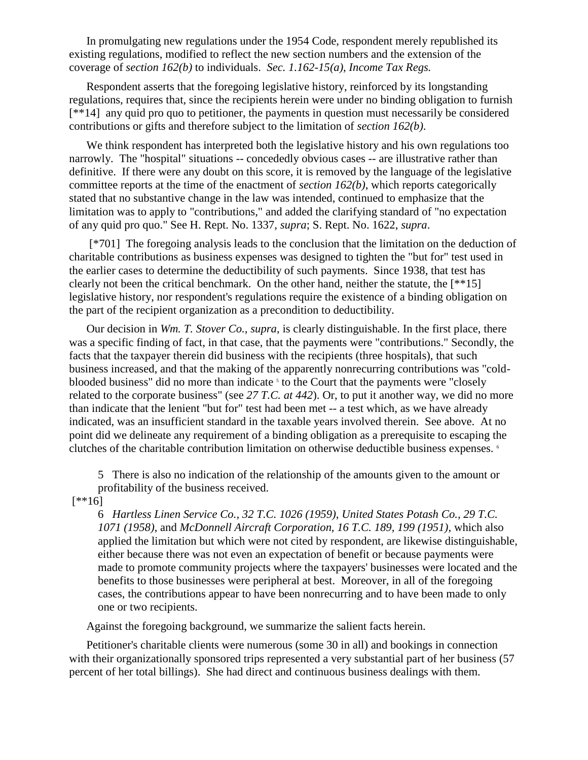In promulgating new regulations under the 1954 Code, respondent merely republished its existing regulations, modified to reflect the new section numbers and the extension of the coverage of *section 162(b)* to individuals. *Sec. 1.162-15(a), Income Tax Regs.*

Respondent asserts that the foregoing legislative history, reinforced by its longstanding regulations, requires that, since the recipients herein were under no binding obligation to furnish [\*\*14] any quid pro quo to petitioner, the payments in question must necessarily be considered contributions or gifts and therefore subject to the limitation of *section 162(b)*.

We think respondent has interpreted both the legislative history and his own regulations too narrowly. The "hospital" situations -- concededly obvious cases -- are illustrative rather than definitive. If there were any doubt on this score, it is removed by the language of the legislative committee reports at the time of the enactment of *section 162(b)*, which reports categorically stated that no substantive change in the law was intended, continued to emphasize that the limitation was to apply to "contributions," and added the clarifying standard of "no expectation of any quid pro quo." See H. Rept. No. 1337, *supra*; S. Rept. No. 1622, *supra*.

[\*701] The foregoing analysis leads to the conclusion that the limitation on the deduction of charitable contributions as business expenses was designed to tighten the "but for" test used in the earlier cases to determine the deductibility of such payments. Since 1938, that test has clearly not been the critical benchmark. On the other hand, neither the statute, the [\*\*15] legislative history, nor respondent's regulations require the existence of a binding obligation on the part of the recipient organization as a precondition to deductibility.

Our decision in *Wm. T. Stover Co., supra*, is clearly distinguishable. In the first place, there was a specific finding of fact, in that case, that the payments were "contributions." Secondly, the facts that the taxpayer therein did business with the recipients (three hospitals), that such business increased, and that the making of the apparently nonrecurring contributions was "coldblooded business" did no more than indicate <sup>5</sup> to the Court that the payments were "closely related to the corporate business" (see *27 T.C. at 442*). Or, to put it another way, we did no more than indicate that the lenient "but for" test had been met -- a test which, as we have already indicated, was an insufficient standard in the taxable years involved therein. See above. At no point did we delineate any requirement of a binding obligation as a prerequisite to escaping the clutches of the charitable contribution limitation on otherwise deductible business expenses.  $\epsilon$ 

5 There is also no indication of the relationship of the amounts given to the amount or profitability of the business received.

 $[$ \*\*16]

6 *Hartless Linen Service Co., 32 T.C. 1026 (1959)*, *United States Potash Co., 29 T.C. 1071 (1958)*, and *McDonnell Aircraft Corporation, 16 T.C. 189, 199 (1951)*, which also applied the limitation but which were not cited by respondent, are likewise distinguishable, either because there was not even an expectation of benefit or because payments were made to promote community projects where the taxpayers' businesses were located and the benefits to those businesses were peripheral at best. Moreover, in all of the foregoing cases, the contributions appear to have been nonrecurring and to have been made to only one or two recipients.

Against the foregoing background, we summarize the salient facts herein.

Petitioner's charitable clients were numerous (some 30 in all) and bookings in connection with their organizationally sponsored trips represented a very substantial part of her business (57 percent of her total billings). She had direct and continuous business dealings with them.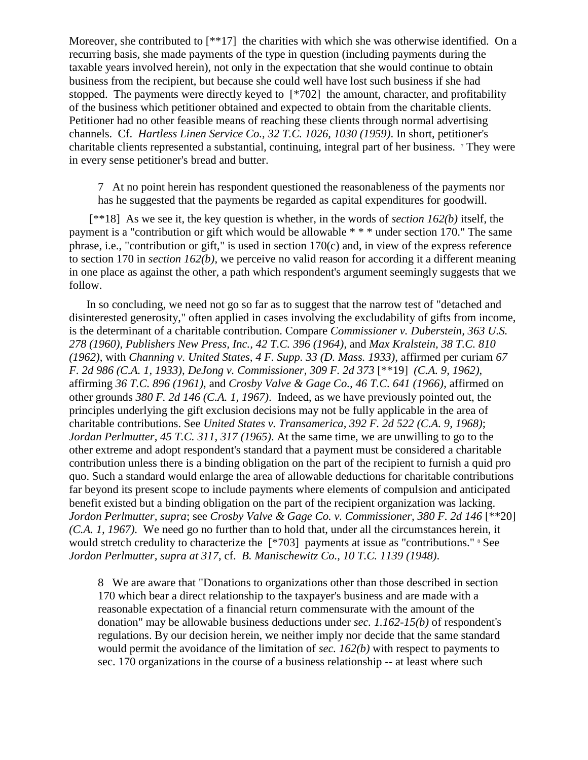Moreover, she contributed to [\*\*17] the charities with which she was otherwise identified. On a recurring basis, she made payments of the type in question (including payments during the taxable years involved herein), not only in the expectation that she would continue to obtain business from the recipient, but because she could well have lost such business if she had stopped. The payments were directly keyed to [\*702] the amount, character, and profitability of the business which petitioner obtained and expected to obtain from the charitable clients. Petitioner had no other feasible means of reaching these clients through normal advertising channels. Cf. *Hartless Linen Service Co., 32 T.C. 1026, 1030 (1959)*. In short, petitioner's charitable clients represented a substantial, continuing, integral part of her business. <sup>7</sup> They were in every sense petitioner's bread and butter.

7 At no point herein has respondent questioned the reasonableness of the payments nor has he suggested that the payments be regarded as capital expenditures for goodwill.

[\*\*18] As we see it, the key question is whether, in the words of *section 162(b)* itself, the payment is a "contribution or gift which would be allowable \* \* \* under section 170." The same phrase, i.e., "contribution or gift," is used in section 170(c) and, in view of the express reference to section 170 in *section 162(b)*, we perceive no valid reason for according it a different meaning in one place as against the other, a path which respondent's argument seemingly suggests that we follow.

In so concluding, we need not go so far as to suggest that the narrow test of "detached and disinterested generosity," often applied in cases involving the excludability of gifts from income, is the determinant of a charitable contribution. Compare *Commissioner v. Duberstein, 363 U.S. 278 (1960)*, *Publishers New Press, Inc., 42 T.C. 396 (1964)*, and *Max Kralstein, 38 T.C. 810 (1962)*, with *Channing v. United States, 4 F. Supp. 33 (D. Mass. 1933)*, affirmed per curiam *67 F. 2d 986 (C.A. 1, 1933)*, *DeJong v. Commissioner, 309 F. 2d 373* [\*\*19] *(C.A. 9, 1962)*, affirming *36 T.C. 896 (1961)*, and *Crosby Valve & Gage Co., 46 T.C. 641 (1966)*, affirmed on other grounds *380 F. 2d 146 (C.A. 1, 1967)*. Indeed, as we have previously pointed out, the principles underlying the gift exclusion decisions may not be fully applicable in the area of charitable contributions. See *United States v. Transamerica, 392 F. 2d 522 (C.A. 9, 1968)*; *Jordan Perlmutter, 45 T.C. 311, 317 (1965)*. At the same time, we are unwilling to go to the other extreme and adopt respondent's standard that a payment must be considered a charitable contribution unless there is a binding obligation on the part of the recipient to furnish a quid pro quo. Such a standard would enlarge the area of allowable deductions for charitable contributions far beyond its present scope to include payments where elements of compulsion and anticipated benefit existed but a binding obligation on the part of the recipient organization was lacking. *Jordon Perlmutter, supra; see Crosby Valve & Gage Co. v. Commissioner, 380 F. 2d 146* [\*\*20] *(C.A. 1, 1967)*. We need go no further than to hold that, under all the circumstances herein, it would stretch credulity to characterize the [\*703] payments at issue as "contributions." <sup>8</sup> See *Jordon Perlmutter, supra at 317*, cf. *B. Manischewitz Co., 10 T.C. 1139 (1948)*.

8 We are aware that "Donations to organizations other than those described in section 170 which bear a direct relationship to the taxpayer's business and are made with a reasonable expectation of a financial return commensurate with the amount of the donation" may be allowable business deductions under *sec. 1.162-15(b)* of respondent's regulations. By our decision herein, we neither imply nor decide that the same standard would permit the avoidance of the limitation of *sec. 162(b)* with respect to payments to sec. 170 organizations in the course of a business relationship -- at least where such